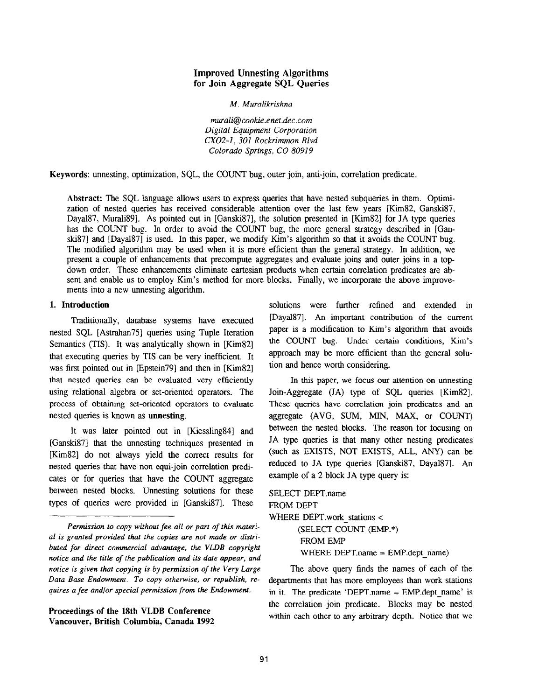# Improved Unnesting Algorithms for Join Aggregate SQL Queries

M. Muralikrishna

murali@cookie.enet.dec.com Digital Equipment Corporation CXO2-1, 301 Rockrimmon Blvd Colorado Springs, CO 80919

Keywords: unnesting, optimization, SQL, the COUNT bug, outer join, anti-join, correlation predicate.

Abstract: The SQL language allows users to express queries that have nested subqueries in them. Optimization of nested queries has received considerable attention over the last few years [Kim82, Ganski87, Dayal87, Murali89]. As pointed out in [Ganski87], the solution presented in [Kim82] for JA type queries has the COUNT bug. In order to avoid the COUNT bug, the more general strategy described in [Ganski871 and [Dayal87] is used. In this paper, we modify Kim's algorithm so that it avoids the COUNT bug. The modified algorithm may be used when it is more efficient than the general strategy. In addition, we present a couple of enhancements that precompute aggregates and evaluate joins and outer joins in a topdown order. These enhancements eliminate cartesian products when certain correlation predicates are absent and enable us to employ Kim's method for more blocks. Finally, we incorporate the above improvemerits into a new unnesting algorithm.

# 1. Introduction

Traditionally, database systems have executed nested SQL [Astrahan75] queries using Tuple Iteration Semantics (TIS). It was analytically shown in [Kim82] that executing queries by TIS can be very inefficient. It was first pointed out in [Epstein79] and then in [Kim82] that nested queries can be evaluated very efficiently using relational algebra or set-oriented operators. The process of obtaining set-oriented operators to evaluate nested queries is known as unnesting.

It was later pointed out in [Kiessling84] and [Ganski87] that the unnesting techniques presented in [Kim821 do not always yield the correct results for nested queries that have non equi-join correlation predicates or for queries that have the COUNT aggregate between nested blocks. Unnesting solutions for these types of queries were provided in [Ganski87]. These

Proceedings of the 18th VLDB Conference Vancouver, British Columbia, Canada 1992 solutions were further refined and extended in [Dayal87]. An important contribution of the current paper is a modification to Kim's algorithm that avoids the COUNT bug. Under certain conditions, Kim's approach may be more efficient than the general solution and hence worth considering.

In this paper, we focus our attention on unnesting Join-Aggregate (JA) type of SQL queries [Kim82]. These queries have correlation join predicates and an aggregate (AVG, SUM, MIN, MAX, or COUNT) between the nested blocks. The reason for focusing on JA type queries is that many other nesting predicates (such as EXISTS, NOT EXISTS, ALL, ANY) can be reduced to JA type queries [Ganski87, Daya1871. An example of a 2 block JA type query is:

SELECT DEPT.name FROM DEPT WHERE DEPT.work stations < (SELECT COUNT (EMP.\*) FROM EMP WHERE DEPT.name = EMP.dept\_name)

The above query finds the names of each of the departments that has more employees than work stations in it. The predicate 'DEPT, name  $=$  EMP. dept name' is the correlation join predicate. Blocks may be nested within each other to any arbitrary depth. Notice that we

Permission to copy without fee all or part of this material is granted provided that the copies are not made or distributed for direct commercial advantage, the VLDB copyright notice and the title of the publication and its date appear, and notice is given that copying is by permission of the Very Large Data Base Endowment. To copy otherwise, or republish, requires a fee and/or special permission from the Endowment.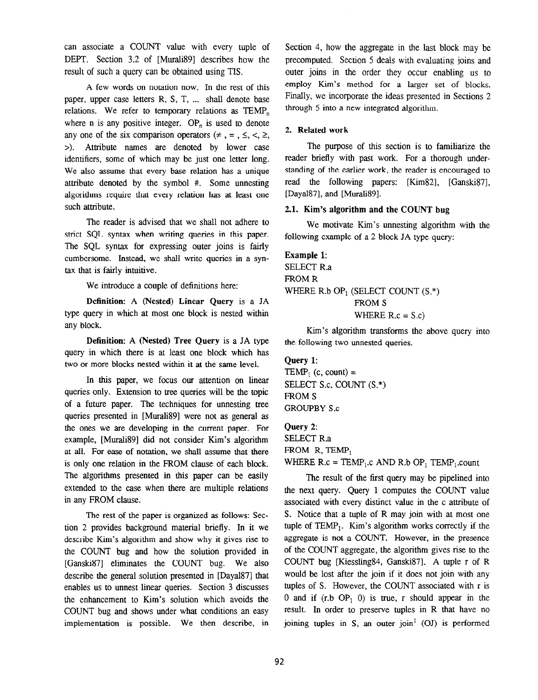can associate a COUNT value with every tuple of DEPT. Section 3.2 of [Murali89] describes how the result of such a query can be obtained using TIS.

A few words on notation now. In the rest of this paper, upper case letters  $R$ ,  $S$ ,  $T$ , ... shall denote base relations. We refer to temporary relations as  $\text{TEMP}_n$ , where n is any positive integer.  $OP_n$  is used to denote any one of the six comparison operators  $(\neq, =, \leq, <, \geq)$ , >>. Attribute names are denoted by lower case identifiers, some of which may be just one letter long. We also assume that every base relation has a unique attribute denoted by the symbol #. Some unnesting algorithms require that every relation has at least one such attribute.

The reader is advised that we shall not adhere to strict SQL syntax when writing queries in this paper. The SQL syntax for expressing outer joins is fairly cumbersome. Instead, we shall write queries in a syntax that is fairly intuitive.

We introduce a couple of definitions here:

Definition: A (Nested) Linear Query is a JA type query in which at most one block is nested within any block.

Definition: A (Nested) Tree Query is a JA type query in which there is at least one block which has two or more blocks nested within it at the same level.

In this paper, we focus our attention on linear queries only. Extension to tree queries will be the topic of a future paper. The techniques for unnesting tree queries presented in [Murali 89] were not as general as the ones we are developing in the current paper. For example, [Murali89] did not consider Kim's algorithm at all. For ease of notation, we shall assume that there is only one relation in the FROM clause of each block. The algorithms presented in this paper can be easily extended to the case when there are multiple relations in any FROM clause.

The rest of the paper is organized as follows: Section 2 provides background material briefly. In it we describe Kim's algorithm and show why it gives rise to the COUNT bug and how the solution provided in [GanskiS7] eliminates the COUNT bug. We also describe the general solution presented in [Dayal87] that enables us to unnest linear queries. Section 3 discusses the enhancement to Kim's solution which avoids the COUNT bug and shows under what conditions an easy implementation is possible. We then describe, in

Section 4, how the aggregate in the last block may be precomputed. Section 5 deals with evaluating joins and outer joins in the order they occur enabling us to employ Kim's method for a larger set of blocks. Finally, we incorporate the ideas presented in Sections 2 through 5 into a new integrated algorithm.

# 2. Related work

The purpose of this section is to familiarize the reader briefly with past work. For a thorough understanding of the earlier work, the reader is encouraged to read the following papers: [Kim82], [Ganski87], [Dayal87], and [Murali89].

# 2.1. Kim's algorithm and the COUNT bug

We motivate Kim's unnesting algorithm with the following example of a 2 block JA type query:

Example 1: SELECT R.a FROM R WHERE R.b  $OP_1$  (SELECT COUNT  $(S^*)$ ) FROM S WHERE  $R.c = S.c$ 

Kim's algorithm transforms the above query into the following two unnested queries.

Query 1:  $\text{TEMP}_1$  (c, count) = SELECT S.c, COUNT (S.") FROM S GROUPBY S.c

Query 2: SELECT R.a FROM R, TEMP,

WHERE  $R.c = TEMP_1.c$  AND  $R.b$  OP,  $TEMP_1.c$ 

The result of the first query may be pipelined into the next query. Query 1 computes the COUNT value associated with every distinct value in the c attribute of S. Notice that a tuple of R may join with at most one tuple of  $\text{TEMP}_1$ . Kim's algorithm works correctly if the aggregate is not a COUNT. However, in the presence of the COUNT aggregate, the algorithm gives rise to the COUNT bug [Kiessling84, Ganski87]. A tuple r of R would be lost after the join if it does not join with any tuples of S. However, the COUNT associated with r is 0 and if  $(r.b$  OP<sub>1</sub> 0) is true, r should appear in the result. In order to preserve tuples in R that have no joining tuples in S, an outer join<sup>1</sup> (OJ) is performed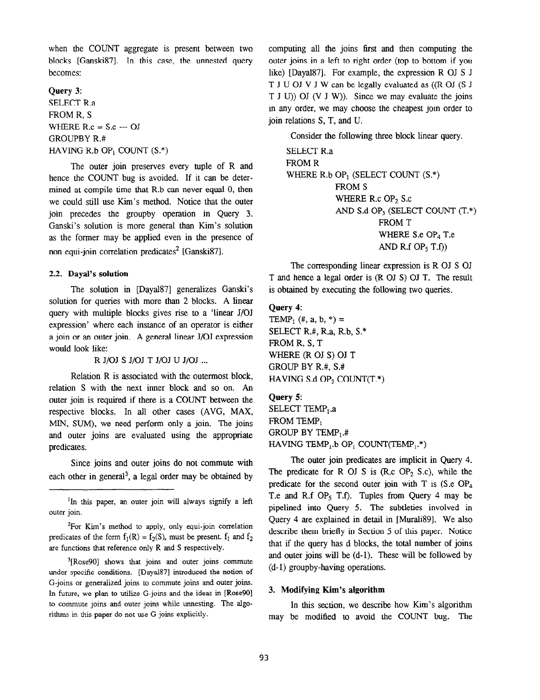when the COUNT aggregate is present between two blocks [Ganski87]. In this case, the unnested query becomes:

# Query 3: SELECT R.a FROM R, S WHERE  $R.c = S.c -10J$ GROUPBY R.# HAVING R.b OP<sub>1</sub> COUNT  $(S.*)$

The outer join preserves every tuple of R and hence the COUNT bug is avoided. If it can be determined at compile time that R.b can never equal 0, then we could still use Kim's method. Notice that the outer join precedes the groupby operation in Query 3. Ganski's solution is more general than Kim's solution as the former may be applied even in the presence of non equi-join correlation predicates<sup>2</sup> [Ganski87].

#### 2.2. Dayal's solution

The solution in [Dayal87] generalizes Ganski's solution for queries with more than 2 blocks. A linear query with multiple blocks gives rise to a 'linear J/OJ expression' where each instance of an operator is either a join or an outer join. A general linear J/OJ expression would look like:

R J/OJ S J/OJ T J/OJ U J/OJ ...

Relation R is associated with the outermost block, relation S with the next inner block and so on. An outer join is required if there is a COUNT between the respective blocks. In all other cases (AVG, MAX, MIN, SUM), we need perform only a join. The joins and outer joins are evaluated using the appropriate predicates,

Since joins and outer joins do not commute with each other in general<sup>3</sup>, a legal order may be obtained by

<sup>2</sup>For Kim's method to apply, only equi-join correlation predicates of the form  $f_1(R) = f_2(S)$ , must be present.  $f_1$  and  $f_2$ are functions that reference only R and S respectively.

<sup>3</sup>[Rose90] shows that joins and outer joins commute under specific conditions. [Dayal87] introduced the notion of G-joins or generalized joins to commute joins and outer joins. In future, we plan to utilize G-joins and the ideas in [Rose90] to commute joins and outer joins while unnesting. The algorithms in this paper do not use G-joins explicitly.

computing all the joins first and then computing the outer joins in a left to right order (top to bottom if you like) [Dayal87]. For example, the expression R OJ S J T J U OJ V J W can be legally evaluated as ((R OJ (S J T J U)) OJ (V J W)). Since we may evaluate the joins in any order, we may choose the cheapest join order to join relations S, T, and U.

Consider the following three block linear query.

SELECT R.a FROM R WHERE R.b OP<sub>1</sub> (SELECT COUNT  $(S^*)$ ) FROM S WHERE R.c OP<sub>2</sub> S.c AND S.d OP3 (SELECT COUNT (T.\*) FROM T WHERE S.e OP<sub>4</sub> T.e AND R.f OP<sub>5</sub> T.f))

The corresponding linear expression is R OJ S OJ T and hence a legal order is (R OJ S) OJ T. The result is obtained by executing the following two queries.

### Query 4:

TEMP<sub>1</sub> (#, a, b, \*) = SELECT R.#, R.a, R.b,  $S.*$ FROM R, S, T WHERE (R OJ S) OJ T GROUP BY R.#, S.# HAVING S.d OP<sub>3</sub> COUNT(T.\*)

Query 5: SELECT TEMP, .a  $FROM$  TEMP<sub>1</sub> GROUP BY TEMP $_1$ .# HAVING TEMP<sub>1</sub>.b OP<sub>1</sub> COUNT(TEMP<sub>1</sub>.\*)

The outer join predicates are implicit in Query 4. The predicate for R OJ S is  $(R, c \text{OP}_2, S, c)$ , while the predicate for the second outer join with T is  $(S.e \t OP<sub>4</sub>)$ T.e and R.f OP<sub>5</sub> T.f). Tuples from Query 4 may be pipelined into Query 5. The subtleties involved in Query 4 are explained in detail in [Murali89]. We also describe them briefly in Section 5 of this paper. Notice that if the query has d blocks, the total number of joins and outer joins will be (d-l). These will be followed by (d- 1) groupby-having operations.

### 3. Modifying Kim's algorithm

In this section, we describe how Kim's algorithm may be modified to avoid the COUNT bug. The

<sup>&</sup>lt;sup>1</sup>In this paper, an outer join will always signify a left outer join.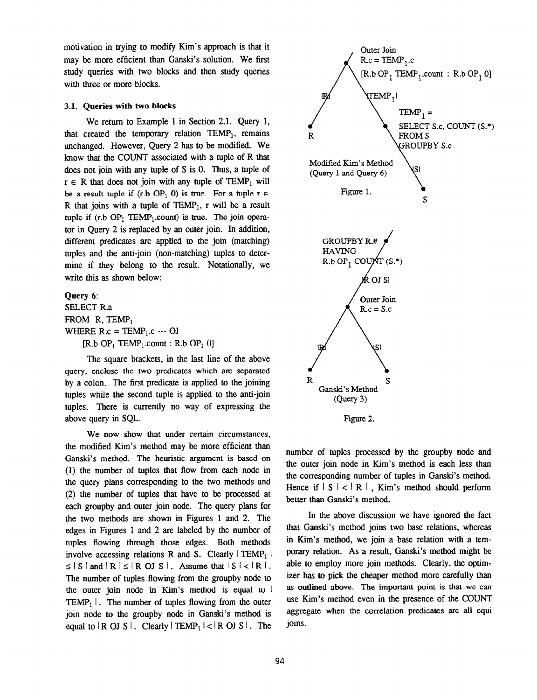motivation in trying to modify Kim's approach is that it may be more efficient than Ganski's solution. We first study queries with two blocks and then study queries with three or more blocks.

#### 3.1. Queries with two blocks

We return to Example 1 in Section 2.1. Query 1, that created the temporary relation  $TEMP_1$ , remains unchanged. However, Query 2 has to be modified. We know that the COUNT associated with a tuple of R that does not join with any tuple of S is 0. Thus, a tuple of  $r \in R$  that does not join with any tuple of TEMP<sub>1</sub> will be a result tuple if (r.b OP<sub>1</sub> 0) is true. For a tuple  $r \in$ R that joins with a tuple of  $TEMP<sub>1</sub>$ , r will be a result tuple if  $(r.b OP_1$  TEMP<sub>1</sub>.count) is true. The join operator in Query 2 is replaced by an outer join. In addition, different predicates are applied to the join (matching) tuples and the anti-join (non-matching) tuples to determine if they belong to the result. Notationally, we write this as shown below:

## Query 6:

SELECT R.a FROM  $R$ , TEMP<sub>1</sub> WHERE  $R.c = TEMP_1.c -- OJ$  $[R.b \t{OP}_1 \t{TEMP}_1 \t{count} : R.b \t{OP}_1 \t{0}]$ 

The square brackets, in the last line of the above query, enclose the two predicates which are separated by a colon. The first predicate is applied to the joining tuples while the second tuple is applied to the anti-join tuples. There is currently no way of expressing the above query in SQL.

We now show that under certain circumstances, the modified Kim's method may be more efficient than Ganski's method. The heuristic argument is based on (1) the number of tuples that flow from each node in the query plans corresponding to the two methods and (2) the number of tuples that have to be processed at each groupby and outer join node. The query plans for the two methods are shown in Figures 1 and 2. The edges in Figures 1 and 2 are labeled by the number of tuples flowing through those edges. Both methods involve accessing relations R and S. Clearly  $|$  TEMP<sub>1</sub> 1  $\leq$  | S | and | R |  $\leq$  | R OJ S | . Assume that  $|S| < |R|$ . The number of tuples flowing from the groupby node to the outer join node in Kim's method is equal to  $\frac{1}{2}$ TEMP<sub>1</sub> I. The number of tuples flowing from the outer join node to the groupby node in Ganski's method is equal to  $\mathbb{R}$  OJ S  $\mathbb{R}$ . Clearly  $\mathbb{R}$ TEMP<sub>1</sub> $\mathbb{R}$   $\mathbb{R}$  OJ S  $\mathbb{R}$ . The



Figure 2.

number of tuples processed by the groupby node and the outer join node in Kim's method is each less than the corresponding number of tuples in Ganski's method. Hence if  $|S| < |R|$ , Kim's method should perform better than Ganski's method.

In the above discussion we have ignored the fact that Ganski's method joins two base relations, whereas in Kim's method, we join a base relation with a temporary relation. As a result, Ganski's method might be able to employ more join methods. Clearly, the optimizer has to pick the cheaper method more carefully than as outlined above. The important point is that we can use Kim's method even in the presence of the COUNT aggregate when the correlation predicates are all equi joins.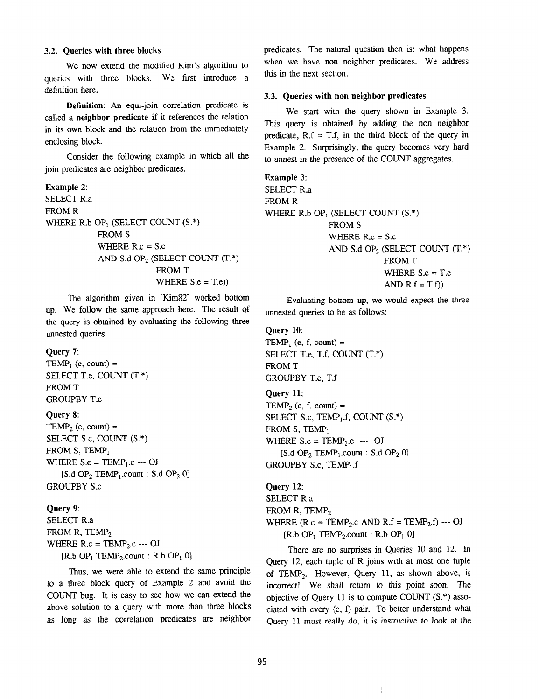#### 3.2. Queries with three blocks

We now extend the modified Kim's algorithm to queries with three blocks. We first introduce a definition here.

Definition: An equi-join correlation predicate is called a neighbor predicate if it references the relation in its own block and the relation from the immediately enclosing block.

Consider the following example in which all the join predicates are neighbor predicates.

```
Example 2: 
SELECT R.a 
FROM R
WHERE R.b OP<sub>1</sub> (SELECT COUNT (S.*))
             FROM S
             WHERE R.c = S.c 
             AND S.d OP<sub>2</sub> (SELECT COUNT (T.*)FROM T
                            WHERE S.e = T.e)
```
The algorithm given in [Kim82] worked bottom up. We follow the same approach here. The result of the query is obtained by evaluating the following three unnested queries.

#### Query 7:

TEMP, (e, count)  $=$ SELECT T.e, COUNT (T.\*) FROM T GROUPBY T.e

#### Query 8:

 $\text{TEMP}_2$  (c, count) = SELECT S.c, COUNT (S.\*) FROM S, TEMP<sub>1</sub> WHERE  $S.e = TEMP_1.e$  --- OJ  $[S.d OP<sub>2</sub> TEMP<sub>1</sub>.count : S.d OP<sub>2</sub> 0]$ GROUPBY S.c

#### Query 9:

SELECT R.a FROM R, TEMP $<sub>2</sub>$ </sub> WHERE  $R.c = TEMP_2.c -- OJ$  $[R.b OP<sub>1</sub> TEMP<sub>2</sub> count : R.b OP<sub>1</sub> 0]$ 

Thus, we were able to extend the same principle to a three block query of Example 2 and avoid the COUNT bug. It is easy to see how we can extend the above solution to a query with more than three blocks as long as the correlation predicates are neighbor predicates. The natural question then is: what happens when we have non neighbor predicates. We address this in the next section.

#### 3.3. Queries with non neighbor predicates

We start with the query shown in Example 3. This query is obtained by adding the non neighbor predicate,  $R.f = T.f$ , in the third block of the query in Example 2. Surprisingly, the query becomes very hard to unnest in the presence of the COUNT aggregates.

```
Example 3: 
SELECT R.a 
FROM R
WHERE R.b OP<sub>1</sub> (SELECT COUNT (S.*)FROM S
               WHERE R.c = S.cAND S.d OP, (SELECT COUNT (T.*) 
                            FROM T
                             WHERE S.e = T.e 
                             AND R.f = T.f)
```
Evaluating bottom up, we would expect the three unnested queries to be as follows:

#### Query 10:

TEMP<sub>1</sub> (e, f, count) = SELECT T.e, T.f, COUNT (T.\*) FROM T GROUPBY T.e, T.f

#### Query 11:

TEMP<sub>2</sub> (c, f, count) = SELECT S.c,  $TEMP_1.f$ , COUNT  $(S.*)$ FROM  $S$ , TEMP<sub>1</sub> WHERE  $S.e = TEMP_1.e$  --- OJ [S.d OP<sub>2</sub> TEMP<sub>1</sub>.count : S.d OP<sub>2</sub> 0] GROUPBY S.c,  $\text{TEMP}_1$ .f

Query 12: SELECT R.a FROM R, TEMP $_2$ WHERE  $(R.c = TEMP_2.c \ AND \ R.f = TEMP_2.f) -- OJ$  $[R.b \t{OP}_1 \t{TEMP}_2$ .count :  $R.b \t{OP}_1 \t{O}$ 

There are no surprises in Queries 10 and 12. In Query 12, each tuple of R joins with at most one tuple of TEMP,. However, Query 11, as shown above, is incorrect! We shall return to this point soon. The objective of Query 11 is to compute COUNT (S.\*) associated with every (c, f) pair. To better understand what Query 11 must really do, it is instructive to look at the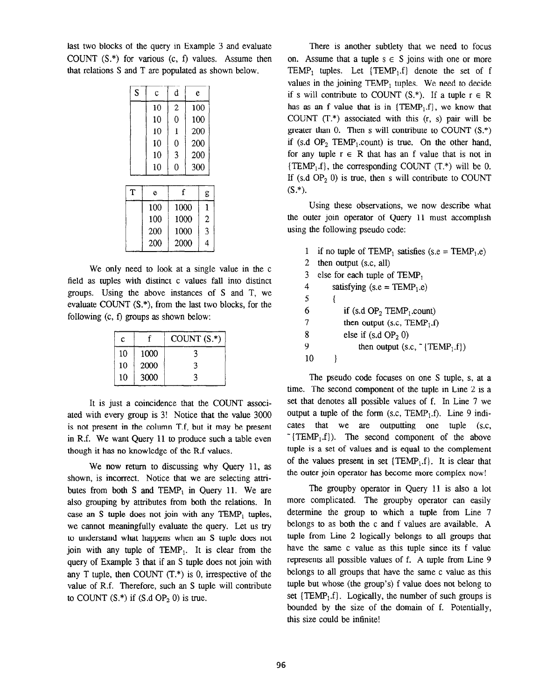last two blocks of the query in Example 3 and evaluate COUNT (S.\*) for various (c, f) values. Assume then that relations S and T are populated as shown below.

| S | $\mathbf c$ | d              | e    |                |
|---|-------------|----------------|------|----------------|
|   | 10          | $\overline{c}$ |      | 100            |
|   | 10          | 0              |      | 100            |
|   | 10          | $\mathbf 1$    |      | 200            |
|   | 10          | $\overline{0}$ |      | 200            |
|   | 10          | 3              |      | 200            |
|   | 10          | 0              |      | 300            |
|   |             |                |      |                |
| T | e           |                | f    | g              |
|   | 100         |                | 1000 | $\mathbf{1}$   |
|   | 100         |                | 1000 | $\overline{c}$ |
|   | 200         |                | 1000 | 3              |
|   | 200         |                | 2000 | 4              |

We only need to look at a single value in the c field as tuples with distinct c values fall into distinct groups. Using the above instances of S and T, we evaluate COUNT (S.\*), from the last two blocks, for the following (c, f) groups as shown below:

| c  |      | COUNT $(S^*)$ |
|----|------|---------------|
| 10 | 1000 |               |
| 10 | 2000 | 3             |
| 10 | 3000 | 3             |

It is just a coincidence that the COUNT associated with every group is 3! Notice that the value 3000 is not present in the column T.f, but it may be present in R.f. We want Query 11 to produce such a table even though it has no knowledge of the R.f values.

We now return to discussing why Query 11, as shown, is incorrect. Notice that we are selecting attributes from both S and TEMP<sub>1</sub> in Query 11. We are also grouping by attributes from both the relations. In case an S tuple does not join with any  $TEMP<sub>1</sub>$  tuples, we cannot meaningfully evaluate the query. Let us try to understand what happens when an S tuple does not join with any tuple of TEMP,. It is clear from the query of Example 3 that if an S tuple does not join with any T tuple, then COUNT  $(T^*)$  is 0, irrespective of the value of R.f. Therefore, such an S tuple will contribute to COUNT  $(S^*)$  if  $(S.dOP<sub>2</sub> 0)$  is true.

There is another subtlety that we need to focus on. Assume that a tuple  $s \in S$  joins with one or more TEMP<sub>1</sub> tuples. Let  $\{TEMP_1.f\}$  denote the set of f values in the joining TEMP, tuples. We need to decide if s will contribute to COUNT  $(S^*)$ . If a tuple  $r \in R$ has as an f value that is in  ${TEMP_1.f}$ , we know that COUNT  $(T^*)$  associated with this  $(r, s)$  pair will be greater than 0. Then s will contribute to COUNT  $(S^*)$ if (s.d  $OP_2$  TEMP<sub>1</sub>.count) is true. On the other hand, for any tuple  $r \in R$  that has an f value that is not in  ${TEMP<sub>1</sub>, f}$ , the corresponding COUNT (T.\*) will be 0. If (s.d  $OP_2$  0) is true, then s will contribute to COUNT  $(S.*).$ 

Using these observations, we now describe what the outer join operator of Query 11 must accomplish using the following pseudo code:

|    | if no tuple of TEMP <sub>1</sub> satisfies (s.e = TEMP <sub>1</sub> .e) |
|----|-------------------------------------------------------------------------|
| 2  | then output (s.c. all)                                                  |
| 3  | else for each tuple of $TEMP_1$                                         |
| 4  | satisfying (s.e = $\text{TEMP}_1.e$ )                                   |
| 5  |                                                                         |
| 6  | if (s.d $OP_2$ TEMP <sub>1</sub> .count)                                |
| 7  | then output (s.c. $\text{TEMP}_1$ .f)                                   |
| 8  | else if $(s.d OP2 0)$                                                   |
| 9  | then output $(s.c, \tilde{\text{}}[TEMP_1.f])$                          |
| 10 |                                                                         |

The pseudo code focuses on one S tuple, s, at a time. The second component of the tuple in Line 2 is a set that denotes all possible values of f. In Line 7 we output a tuple of the form  $(s.c, \text{TEMP}_1.f)$ . Line 9 indicates that we are outputting one tuple (s.c,  $\sim$  {TEMP<sub>1</sub>.f}). The second component of the above tuple is a set of values and is equal to the complement of the values present in set  $\{TEMP_1.f\}$ . It is clear that the outer join operator has become more complex now!

The groupby operator in Query 11 is also a lot more complicated. The groupby operator can easily determine the group to which a tuple from Line 7 belongs to as both the c and f values are available. A tuple from Line 2 logically belongs to all groups that have the same c value as this tuple since its f value represents all possible values of f. A tuple from Line 9 belongs to all groups that have the same c value as this tuple but whose (the group's) f value does not belong to set  $\{TEMP_1.f\}$ . Logically, the number of such groups is bounded by the size of the domain of f. Potentially, this size could be infinite!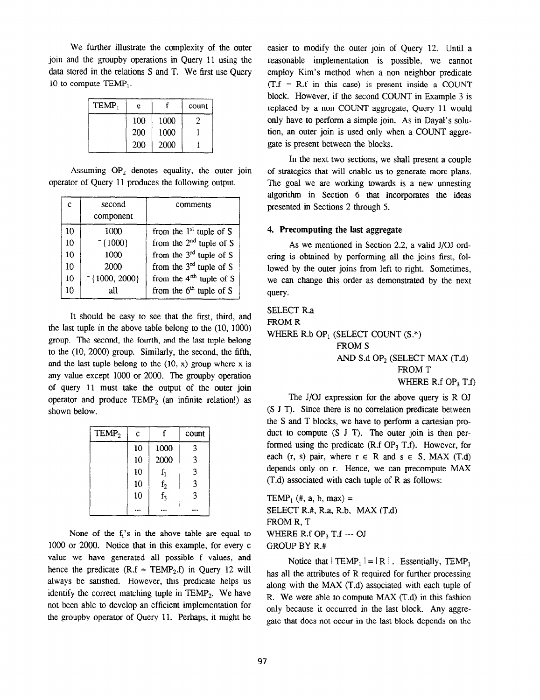We further illustrate the complexity of the outer join and the groupby operations in Query 11 using the data stored in the relations S and T. We first use Query 10 to compute TEMP,.

| TEMP, | е   |      | count |
|-------|-----|------|-------|
|       | 100 | 1000 |       |
|       | 200 | 1000 |       |
|       | 200 | 2000 |       |

Assuming  $OP_2$  denotes equality, the outer join operator of Query 11 produces the following output.

| c  | second<br>component     | comments                     |
|----|-------------------------|------------------------------|
| 10 | 1000                    | from the $1st$ tuple of S    |
| 10 | $~5$ {1000}             | from the $2nd$ tuple of S    |
| 10 | 1000                    | from the $3^{rd}$ tuple of S |
| 10 | 2000                    | from the $3^{rd}$ tuple of S |
| 10 | $\tilde{}$ {1000, 2000} | from the $4th$ tuple of S    |
| 10 | all                     | from the $6th$ tuple of S    |

It should be easy to see that the first, third, and the last tuple in the above table belong to the (IO, 1000) group. The second, the fourth, and the last tuple belong to the  $(10, 2000)$  group. Similarly, the second, the fifth, and the last tuple belong to the  $(10, x)$  group where x is any value except 1000 or 2000. The groupby operation of query 11 must take the output of the outer join operator and produce  $TEMP<sub>2</sub>$  (an infinite relation!) as shown below.

| TEMP <sub>2</sub> | c  |                | count |
|-------------------|----|----------------|-------|
|                   | 10 | 1000           | 3     |
|                   | 10 | 2000           | 3     |
|                   | 10 | $f_1$          | 3     |
|                   | 10 |                | 3     |
|                   | 10 | $f_2$<br>$f_3$ | 3     |
|                   |    |                |       |

None of the  $f_i$ 's in the above table are equal to 1000 or 2000. Notice that in this example, for every c value we have generated all possible f values, and hence the predicate  $(R.f = TEMP_2.f)$  in Query 12 will always be satisfied. However, this predicate helps us identify the correct matching tuple in  $\text{TEMP}_2$ . We have not been able to develop an efficient implementation for the groupby operator of Query Il. Perhaps, it might be easier to modify the outer join of Query 12. Until a reasonable implementation is possible, we cannot employ Kim's method when a non neighbor predicate  $(T.f = R.f in this case)$  is present inside a COUNT block. However, if the second COUNT in Example 3 is replaced by a non COUNT aggregate, Query 11 would only have to perform a simple join. As in Dayal's solution, an outer join is used only when a COUNT aggregate is present between the blocks.

In the next two sections, we shall present a couple of strategies that will enable us to generate more plans. The goal we are working towards is a new unnesting algorithm in Section 6 that incorporates the ideas presented in Sections 2 through 5.

## 4. Precomputing the last aggregate

As we mentioned in Section 2.2, a valid J/OJ ordering is obtained by performing all the joins first, followed by the outer joins from left to right. Sometimes, we can change this order as demonstrated by the next query.

SELECT R.a FROM R WHERE R.b OP<sub>1</sub> (SELECT COUNT  $(S.*)$ ) FROM S AND  $S.d OP<sub>2</sub>$  (SELECT MAX  $(T.d)$ FROM T WHERE R.f  $OP_3$  T.f)

The J/OJ expression for the above query is R OJ (S J T). Since there is no correlation predicate between the S and T blocks, we have to perform a Cartesian product to compute  $(S \tJ T)$ . The outer join is then performed using the predicate (R.f  $OP_3$  T.f). However, for each (r, s) pair, where  $r \in R$  and  $s \in S$ , MAX (T.d) depends only on r. Hence, we can precompute MAX (T.d) associated with each tuple of R as follows:

TEMP<sub>1</sub> (#, a, b, max) = SELECT R.#, R.a, R.b, MAX (T.d) FROM R, T WHERE R.f OP<sub>3</sub> T.f --- OJ GROUP BY R.#

Notice that  $|TEMP_1| = |R|$ . Essentially,  $TEMP_1$ has all the attributes of R required for further processing along with the MAX (T.d) associated with each tuple of R. We were able to compute MAX (T-d) in this fashion only because it occurred in the last block. Any aggregate that does not occur in the last block depends on the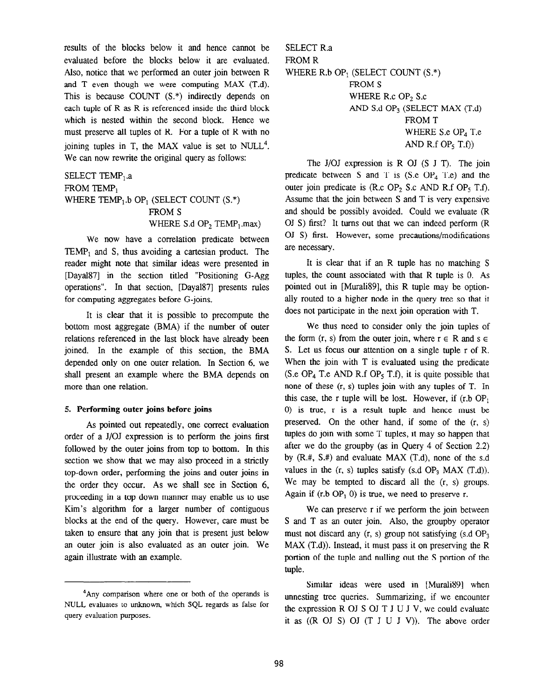results of the blocks below it and hence cannot be evaluated before the blocks below it are evaluated. Also, notice that we performed an outer join between R and T even though we were computing MAX (T.d). This is because COUNT (S.\*) indirectly depends on each tuple of R as R is referenced inside the third block which is nested within the second block. Hence we must preserve all tuples of R. For a tuple of R with no joining tuples in T, the MAX value is set to NULL<sup>4</sup>. We can now rewrite the original query as follows:

# SELECT TEMP<sub>1</sub>.a FROM TEMP<sub>1</sub> WHERE TEMP<sub>1</sub>.b OP<sub>1</sub> (SELECT COUNT  $(S.*)$ FROM S WHERE S.d OP<sub>2</sub> TEMP<sub>1</sub>.max)

We now have a correlation predicate between  $TEMP_1$  and S, thus avoiding a cartesian product. The reader might note that similar ideas were presented in [Dayal87] in the section titled "Positioning G-Agg operations". In that section, [Daya187] presents rules for computing aggregates before G-joins.

It is clear that it is possible to precompute the bottom most aggregate (BMA) if the number of outer relations referenced in the last block have already been joined. In the example of this section, the BMA depended only on one outer relation. In Section 6, we shall present an example where the BMA depends on more than one relation.

#### 5. Performing outer joins before joins

As pointed out repeatedly, one correct evaluation order of a J/OJ expression is to perform the joins first followed by the outer joins from top to bottom. In this section we show that we may also proceed in a strictly top-down order, performing the joins and outer joins in the order they occur. As we shall see in Section 6, proceeding in a top down manner may enable us to use Kim's algorithm for a larger number of contiguous blocks at the end of the query. However, care must be taken to ensure that any join that is present just below an outer join is also evaluated as an outer join. We again illustrate with an example.

SELECT R.a FROM R WHERE R.b OP<sub>1</sub> (SELECT COUNT  $(S^*)$ ) FROM S WHERE R.c  $OP<sub>2</sub>$  S.c AND S.d OPs (SELECT MAX (T.d) FROM T WHERE S.e OP<sub>4</sub> T.e AND R.f  $OP_5$  T.f))

The J/OJ expression is R OJ (S J T). The join predicate between S and T is  $(S.e \t OP<sub>A</sub> T.e)$  and the outer join predicate is  $(R.c OP<sub>2</sub> S.c AND R.f OP<sub>5</sub> T.f).$ Assume that the join between S and T is very expensive and should be possibly avoided. Could we evaluate (R OJ S) first? It turns out that we can indeed perform (R OJ S) first. However, some precautions/modifications are necessary.

It is clear that if an R tuple has no matching S tuples, the count associated with that R tuple is 0. As pointed out in [Murali89], this R tuple may be optionally routed to a higher node in the query tree so that it does not participate in the next join operation with T.

We thus need to consider only the join tuples of the form  $(r, s)$  from the outer join, where  $r \in R$  and  $s \in R$ S. Let us focus our attention on a single tuple r of R. When the join with T is evaluated using the predicate (S.e OP<sub>4</sub> T.e AND R.f OP<sub>5</sub> T.f), it is quite possible that none of these (r, s) tuples join with any tuples of T. In this case, the r tuple will be lost. However, if  $(r.b \t{OP}_1)$ 0) is true, r is a result tuple and hence must be preserved. On the other hand, if some of the (r, s) tuples do join with some T tuples, it may so happen that after we do the groupby (as in Query 4 of Section 2.2) by (R.#, S.#) and evaluate MAX (T.d), none of the s.d values in the  $(r, s)$  tuples satisfy  $(s.d OP<sub>3</sub> MAX (T.d))$ . We may be tempted to discard all the  $(r, s)$  groups. Again if  $(r.b OP<sub>1</sub> 0)$  is true, we need to preserve r.

We can preserve r if we perform the join between S and T as an outer join. Also, the groupby operator must not discard any  $(r, s)$  group not satisfying  $(s.dOP<sub>3</sub>)$ MAX (T.d)). Instead, it must pass it on preserving the R portion of the tuple and nulling out the S portion of the tuple.

Similar ideas were used in [Murali 89] when unnesting tree queries. Summarizing, if we encounter the expression R OJ S OJ T J U J V, we could evaluate it as  $((R \tOJ \tS) \tOJ (T J U J V))$ . The above order

<sup>4</sup>Any comparison where one or both of the operands is NULL evaluates to unknown, which SQL regards as false for query evaluation purposes.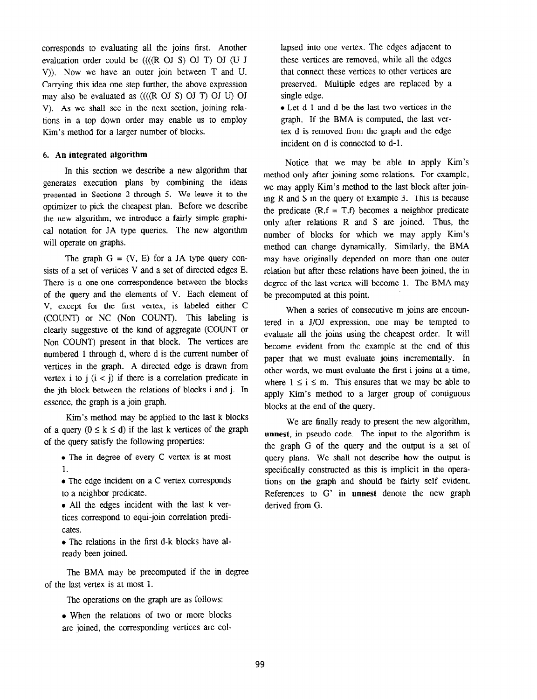corresponds to evaluating all the joins first. Another evaluation order could be ((((R OJ S) OJ T) OJ (U J V)). Now we have an outer join between T and U. Carrying this idea one step further, the above expression may also be evaluated as  $(((R \cup S) \cup T) \cup T) \cup T)$ V). As we shall see in the next section, joining relations in a top down order may enable us to employ Kim's method for a larger number of blocks.

#### 6. An integrated algorithm

In this section we describe a new algorithm that generates execution plans by combining the ideas presented in Sections 2 through 5. We leave it to the optimizer to pick the cheapest plan. Before we describe the new algorithm, we introduce a fairly simple graphical notation for JA type queries. The new algorithm will operate on graphs.

The graph  $G = (V, E)$  for a JA type query consists of a set of vertices V and a set of directed edges E. There is a one-one correspondence between the blocks of the query and the elements of V. Each element of V, except for the first vertex, is labeled either C (COUNT) or NC (Non COUNT). This labeling is clearly suggestive of the kind of aggregate (COUNT or Non COUNT) present in that block. The vertices are numbered 1 through d, where d is the current number of vertices in the graph. A directed edge is drawn from vertex i to  $i$  ( $i < j$ ) if there is a correlation predicate in the jth block between the relations of blocks i and j. In essence, the graph is a join graph.

Kim's method may be applied to the last k blocks of a query  $(0 \le k \le d)$  if the last k vertices of the graph of the query satisfy the following properties:

- $\bullet$  The in degree of every C vertex is at most 1.
- $\bullet$  The edge incident on a C vertex corresponds to a neighbor predicate.
- All the edges incident with the last k vertices correspond to equi-join correlation predicates.
- The relations in the first d-k blocks have already been joined.

The BMA may be precomputed if the in degree of the last vertex is at most 1.

The operations on the graph are as follows:

• When the relations of two or more blocks are joined, the corresponding vertices are collapsed into one vertex. The edges adjacent to these vertices are removed, while all the edges that connect these vertices to other vertices are preserved. Multiple edges are replaced by a single edge.

• Let d-1 and d be the last two vertices in the graph. If the BMA is computed, the last vertex d is removed from the graph and the edge incident on d is connected to d-l.

Notice that we may be able to apply Kim's method only after joining some relations. For example, we may apply Kim's method to the last block after joining R and S in the query of Example 3. This is because the predicate  $(R.f = T.f)$  becomes a neighbor predicate only after relations R and S are joined. Thus, the number of blocks for which we may apply Kim's method can change dynamically. Similarly, the BMA may have originally depended on more than one outer relation but after these relations have been joined, the in degree of the last vertex will become 1. The BMA may be precomputed at this point.

When a series of consecutive m joins are encountered in a J/OJ expression, one may be tempted to evaluate alI the joins using the cheapest order. It will become evident from the example at the end of this paper that we must evaluate joins incrementally. In other words, we must evaluate the first i joins at a time, where  $1 \le i \le m$ . This ensures that we may be able to apply Kim's method to a larger group of contiguous blocks at the end of the query.

We are finally ready to present the new algorithm, unnest, in pseudo code. The input to the algorithm is the graph G of the query and the output is a set of query plans. We shall not describe how the output is specifically constructed as this is implicit in the operations on the graph and should be fairly self evident. References to G' in unnest denote the new graph derived from G.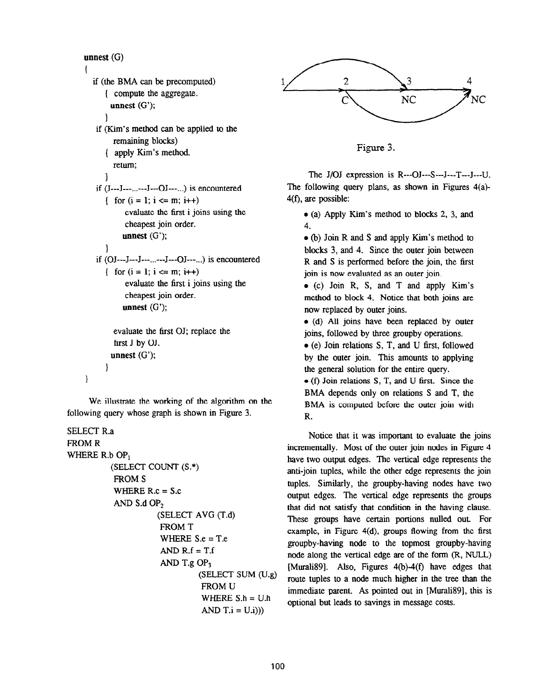```
unnest (G)
```

```
1 
  if (the BMA can be precomputed) 
      ( compute the aggregate. 
       unnest (G'); 
      \mathcal{E}if (Kim's method can be applied to the 
        remaining blocks) 
      ( apply Kim's method 
        return; 
      1 
   if (J--J--...--J--OJ--...) is encountered
      { for (i = 1; i \le m; i++)evaluate the first i joins using the 
            cheapest join order. 
           unnest (G'); 
      1 
   if (OJ--J--J--...--J--OJ--...) is encountered
      { for (i = 1; i \le m; i++)evaluate the first i joins using the 
            cheapest join order. 
           unnest (G'); 
        evaluate the first OJ; replace the 
        first J by OJ. 
       unnest (G'); 
      \mathcal{E}\mathcal{E}
```
We illustrate the working of the algorithm on the following query whose graph is shown in Figure 3.

```
SELECT R.a 
FROM R 
WHERE R.b OP.
          (SELECT COUNT (S.*) 
           FROM S 
           WHERE R.c = S.c 
           AND S.d OP, 
                     (SELECT AVG (T.d) 
                      FROM T 
                      WHERE S.e = T.eAND R.f = T.fAND T.g OP<sub>3</sub>(SELECT SUM (U.g) 
                                FROM U 
                                WHERE S.h = U.hAND T.i = U.i))
```


Figure 3.

The J/OJ expression is R---OJ---S---J---T---J---U. The following query plans, as shown in Figures 4(a)- 4(f), are possible:

 $\bullet$  (a) Apply Kim's method to blocks 2, 3, and 4.

• (b) Join R and S and apply Kim's method to blocks 3, and 4. Since the outer join between R and S is performed before the join, the first join is now evaluated as an outer join.

 $\bullet$  (c) Join R, S, and T and apply Kim's method to block 4. Notice that both joins are now replaced by outer joins.

 $\bullet$  (d) All joins have been replaced by outer joins, followed by three groupby operations.

 $\bullet$  (e) Join relations S, T, and U first, followed by the outer join. This amounts to applying the general solution for the entire query.

 $\bullet$  (f) Join relations S, T, and U first. Since the BMA depends only on relations S and T, the BMA is computed before the outer join with R.

Notice that it was important to evaluate the joins incrementally. Most of the outer join nodes in Figure 4 have two output edges. The vertical edge represents the anti-join tuples, while the other edge represents the join tuples. Similarly, the groupby-having nodes have two output edges. The vertical edge represents the groups that did not satisfy that condition in the having clause. These groups have certain portions nulled out. For example, in Figure 4(d), groups flowing from the first groupby-having node to the topmost groupby-having node along the vertical edge are of the form (R, NULL) [Murali89]. Also, Figures  $4(b) - 4(f)$  have edges that route tuples to a node much higher in the tree than the immediate parent. As pointed out in [Murali89], this is optional but leads to savings in message costs.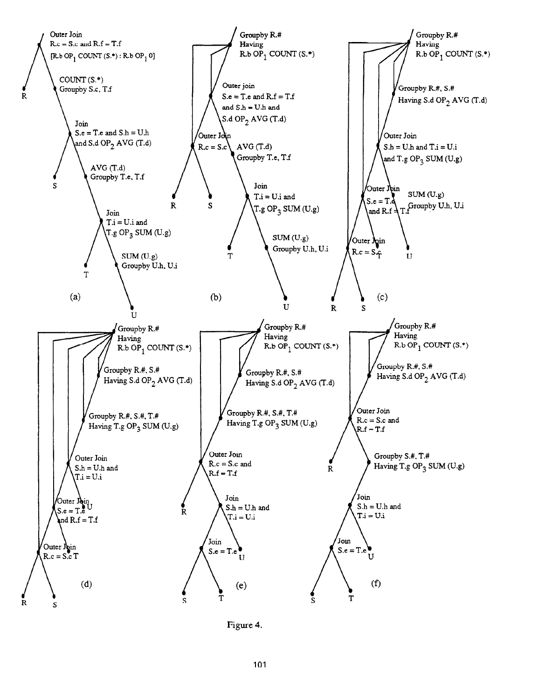

Figure 4.